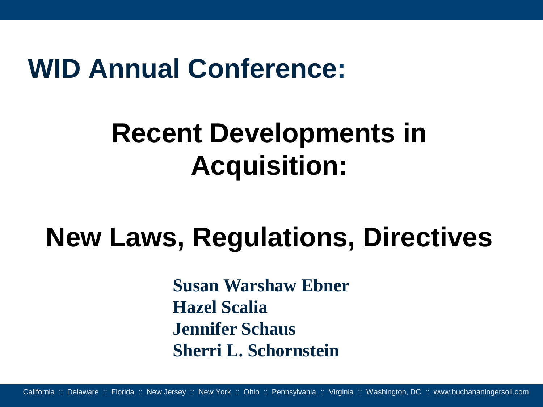#### **WID Annual Conference:**

# **Recent Developments in Acquisition:**

# **New Laws, Regulations, Directives**

**Susan Warshaw Ebner Hazel Scalia Jennifer Schaus Sherri L. Schornstein**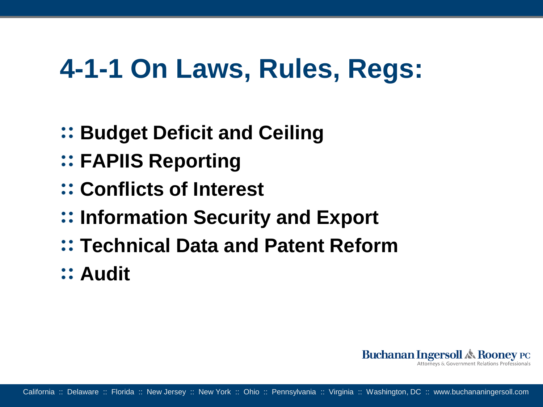## **4-1-1 On Laws, Rules, Regs:**

- **Budget Deficit and Ceiling**
- **FAPIIS Reporting**
- **Conflicts of Interest**
- **Information Security and Export**
- **Technical Data and Patent Reform**
- **Audit**

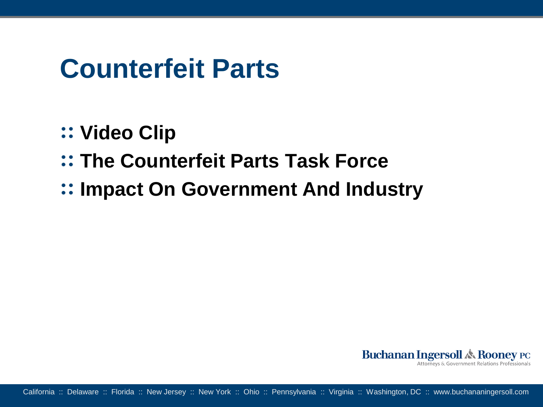#### **Counterfeit Parts**

- **Video Clip**
- **The Counterfeit Parts Task Force**
- **Impact On Government And Industry**

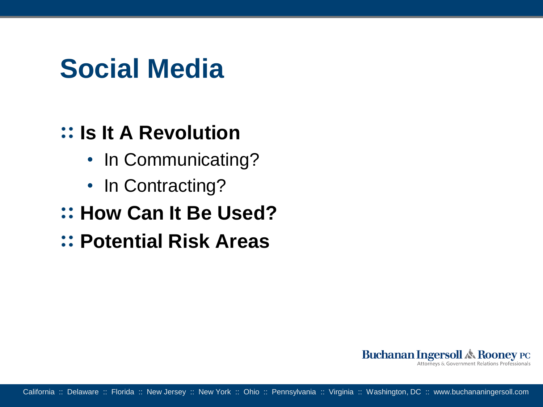### **Social Media**

#### **Is It A Revolution**

- In Communicating?
- In Contracting?
- **:: How Can It Be Used?**
- **Potential Risk Areas**